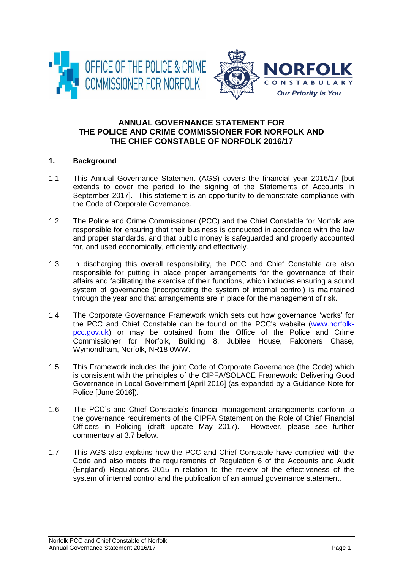



# **ANNUAL GOVERNANCE STATEMENT FOR THE POLICE AND CRIME COMMISSIONER FOR NORFOLK AND THE CHIEF CONSTABLE OF NORFOLK 2016/17**

# **1. Background**

- 1.1 This Annual Governance Statement (AGS) covers the financial year 2016/17 [but extends to cover the period to the signing of the Statements of Accounts in September 2017]. This statement is an opportunity to demonstrate compliance with the Code of Corporate Governance.
- 1.2 The Police and Crime Commissioner (PCC) and the Chief Constable for Norfolk are responsible for ensuring that their business is conducted in accordance with the law and proper standards, and that public money is safeguarded and properly accounted for, and used economically, efficiently and effectively.
- 1.3 In discharging this overall responsibility, the PCC and Chief Constable are also responsible for putting in place proper arrangements for the governance of their affairs and facilitating the exercise of their functions, which includes ensuring a sound system of governance (incorporating the system of internal control) is maintained through the year and that arrangements are in place for the management of risk.
- 1.4 The Corporate Governance Framework which sets out how governance 'works' for the PCC and Chief Constable can be found on the PCC's website [\(www.norfolk](http://www.norfolk-pcc.gov.uk/)[pcc.gov.uk\)](http://www.norfolk-pcc.gov.uk/) or may be obtained from the Office of the Police and Crime Commissioner for Norfolk, Building 8, Jubilee House, Falconers Chase, Wymondham, Norfolk, NR18 0WW.
- 1.5 This Framework includes the joint Code of Corporate Governance (the Code) which is consistent with the principles of the CIPFA/SOLACE Framework: Delivering Good Governance in Local Government [April 2016] (as expanded by a Guidance Note for Police [June 2016]).
- 1.6 The PCC's and Chief Constable's financial management arrangements conform to the governance requirements of the CIPFA Statement on the Role of Chief Financial Officers in Policing (draft update May 2017). However, please see further commentary at 3.7 below.
- 1.7 This AGS also explains how the PCC and Chief Constable have complied with the Code and also meets the requirements of Regulation 6 of the Accounts and Audit (England) Regulations 2015 in relation to the review of the effectiveness of the system of internal control and the publication of an annual governance statement.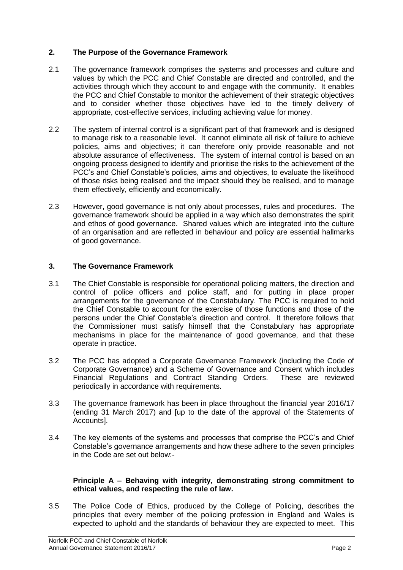# **2. The Purpose of the Governance Framework**

- 2.1 The governance framework comprises the systems and processes and culture and values by which the PCC and Chief Constable are directed and controlled, and the activities through which they account to and engage with the community. It enables the PCC and Chief Constable to monitor the achievement of their strategic objectives and to consider whether those objectives have led to the timely delivery of appropriate, cost-effective services, including achieving value for money.
- 2.2 The system of internal control is a significant part of that framework and is designed to manage risk to a reasonable level. It cannot eliminate all risk of failure to achieve policies, aims and objectives; it can therefore only provide reasonable and not absolute assurance of effectiveness. The system of internal control is based on an ongoing process designed to identify and prioritise the risks to the achievement of the PCC's and Chief Constable's policies, aims and objectives, to evaluate the likelihood of those risks being realised and the impact should they be realised, and to manage them effectively, efficiently and economically.
- 2.3 However, good governance is not only about processes, rules and procedures. The governance framework should be applied in a way which also demonstrates the spirit and ethos of good governance. Shared values which are integrated into the culture of an organisation and are reflected in behaviour and policy are essential hallmarks of good governance.

## **3. The Governance Framework**

- 3.1 The Chief Constable is responsible for operational policing matters, the direction and control of police officers and police staff, and for putting in place proper arrangements for the governance of the Constabulary. The PCC is required to hold the Chief Constable to account for the exercise of those functions and those of the persons under the Chief Constable's direction and control. It therefore follows that the Commissioner must satisfy himself that the Constabulary has appropriate mechanisms in place for the maintenance of good governance, and that these operate in practice.
- 3.2 The PCC has adopted a Corporate Governance Framework (including the Code of Corporate Governance) and a Scheme of Governance and Consent which includes Financial Regulations and Contract Standing Orders. These are reviewed periodically in accordance with requirements.
- 3.3 The governance framework has been in place throughout the financial year 2016/17 (ending 31 March 2017) and [up to the date of the approval of the Statements of Accounts].
- 3.4 The key elements of the systems and processes that comprise the PCC's and Chief Constable's governance arrangements and how these adhere to the seven principles in the Code are set out below:-

#### **Principle A – Behaving with integrity, demonstrating strong commitment to ethical values, and respecting the rule of law.**

3.5 The Police Code of Ethics, produced by the College of Policing, describes the principles that every member of the policing profession in England and Wales is expected to uphold and the standards of behaviour they are expected to meet. This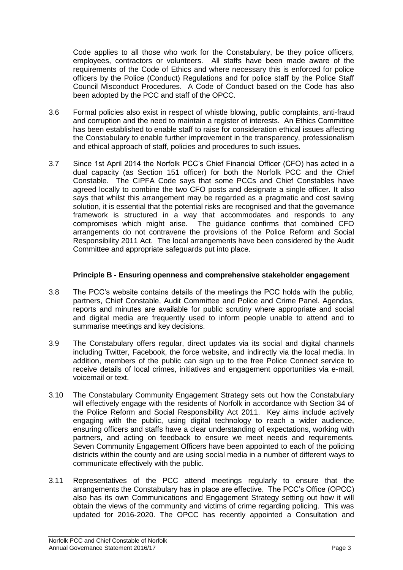Code applies to all those who work for the Constabulary, be they police officers, employees, contractors or volunteers. All staffs have been made aware of the requirements of the Code of Ethics and where necessary this is enforced for police officers by the Police (Conduct) Regulations and for police staff by the Police Staff Council Misconduct Procedures. A Code of Conduct based on the Code has also been adopted by the PCC and staff of the OPCC.

- 3.6 Formal policies also exist in respect of whistle blowing, public complaints, anti-fraud and corruption and the need to maintain a register of interests. An Ethics Committee has been established to enable staff to raise for consideration ethical issues affecting the Constabulary to enable further improvement in the transparency, professionalism and ethical approach of staff, policies and procedures to such issues.
- 3.7 Since 1st April 2014 the Norfolk PCC's Chief Financial Officer (CFO) has acted in a dual capacity (as Section 151 officer) for both the Norfolk PCC and the Chief Constable. The CIPFA Code says that some PCCs and Chief Constables have agreed locally to combine the two CFO posts and designate a single officer. It also says that whilst this arrangement may be regarded as a pragmatic and cost saving solution, it is essential that the potential risks are recognised and that the governance framework is structured in a way that accommodates and responds to any compromises which might arise. The guidance confirms that combined CFO arrangements do not contravene the provisions of the Police Reform and Social Responsibility 2011 Act. The local arrangements have been considered by the Audit Committee and appropriate safeguards put into place.

# **Principle B - Ensuring openness and comprehensive stakeholder engagement**

- 3.8 The PCC's website contains details of the meetings the PCC holds with the public, partners, Chief Constable, Audit Committee and Police and Crime Panel. Agendas, reports and minutes are available for public scrutiny where appropriate and social and digital media are frequently used to inform people unable to attend and to summarise meetings and key decisions.
- 3.9 The Constabulary offers regular, direct updates via its social and digital channels including Twitter, Facebook, the force website, and indirectly via the local media. In addition, members of the public can sign up to the free Police Connect service to receive details of local crimes, initiatives and engagement opportunities via e-mail, voicemail or text.
- 3.10 The Constabulary Community Engagement Strategy sets out how the Constabulary will effectively engage with the residents of Norfolk in accordance with Section 34 of the Police Reform and Social Responsibility Act 2011. Key aims include actively engaging with the public, using digital technology to reach a wider audience, ensuring officers and staffs have a clear understanding of expectations, working with partners, and acting on feedback to ensure we meet needs and requirements. Seven Community Engagement Officers have been appointed to each of the policing districts within the county and are using social media in a number of different ways to communicate effectively with the public.
- 3.11 Representatives of the PCC attend meetings regularly to ensure that the arrangements the Constabulary has in place are effective. The PCC's Office (OPCC) also has its own Communications and Engagement Strategy setting out how it will obtain the views of the community and victims of crime regarding policing. This was updated for 2016-2020. The OPCC has recently appointed a Consultation and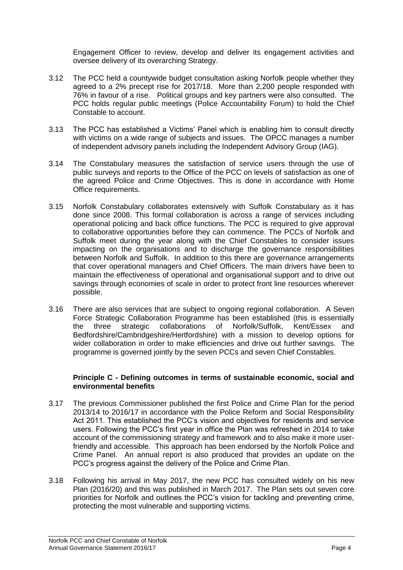Engagement Officer to review, develop and deliver its engagement activities and oversee delivery of its overarching Strategy.

- 3.12 The PCC held a countywide budget consultation asking Norfolk people whether they agreed to a 2% precept rise for 2017/18. More than 2,200 people responded with 76% in favour of a rise. Political groups and key partners were also consulted. The PCC holds regular public meetings (Police Accountability Forum) to hold the Chief Constable to account.
- 3.13 The PCC has established a Victims' Panel which is enabling him to consult directly with victims on a wide range of subjects and issues. The OPCC manages a number of independent advisory panels including the Independent Advisory Group (IAG).
- 3.14 The Constabulary measures the satisfaction of service users through the use of public surveys and reports to the Office of the PCC on levels of satisfaction as one of the agreed Police and Crime Objectives. This is done in accordance with Home Office requirements.
- 3.15 Norfolk Constabulary collaborates extensively with Suffolk Constabulary as it has done since 2008. This formal collaboration is across a range of services including operational policing and back office functions. The PCC is required to give approval to collaborative opportunities before they can commence. The PCCs of Norfolk and Suffolk meet during the year along with the Chief Constables to consider issues impacting on the organisations and to discharge the governance responsibilities between Norfolk and Suffolk. In addition to this there are governance arrangements that cover operational managers and Chief Officers. The main drivers have been to maintain the effectiveness of operational and organisational support and to drive out savings through economies of scale in order to protect front line resources wherever possible.
- 3.16 There are also services that are subject to ongoing regional collaboration. A Seven Force Strategic Collaboration Programme has been established (this is essentially the three strategic collaborations of Norfolk/Suffolk, Kent/Essex and Bedfordshire/Cambridgeshire/Hertfordshire) with a mission to develop options for wider collaboration in order to make efficiencies and drive out further savings. The programme is governed jointly by the seven PCCs and seven Chief Constables.

## **Principle C - Defining outcomes in terms of sustainable economic, social and environmental benefits**

- 3.17 The previous Commissioner published the first Police and Crime Plan for the period 2013/14 to 2016/17 in accordance with the Police Reform and Social Responsibility Act 2011. This established the PCC's vision and objectives for residents and service users. Following the PCC's first year in office the Plan was refreshed in 2014 to take account of the commissioning strategy and framework and to also make it more userfriendly and accessible. This approach has been endorsed by the Norfolk Police and Crime Panel. An annual report is also produced that provides an update on the PCC's progress against the delivery of the Police and Crime Plan.
- 3.18 Following his arrival in May 2017, the new PCC has consulted widely on his new Plan (2016/20) and this was published in March 2017. The Plan sets out seven core priorities for Norfolk and outlines the PCC's vision for tackling and preventing crime, protecting the most vulnerable and supporting victims.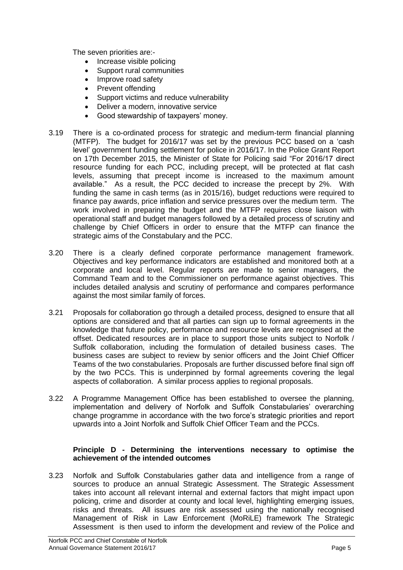The seven priorities are:-

- Increase visible policing
- Support rural communities
- Improve road safety
- Prevent offending
- Support victims and reduce vulnerability
- Deliver a modern, innovative service
- Good stewardship of taxpayers' money.
- 3.19 There is a co-ordinated process for strategic and medium-term financial planning (MTFP). The budget for 2016/17 was set by the previous PCC based on a 'cash level' government funding settlement for police in 2016/17. In the Police Grant Report on 17th December 2015, the Minister of State for Policing said "For 2016/17 direct resource funding for each PCC, including precept, will be protected at flat cash levels, assuming that precept income is increased to the maximum amount available." As a result, the PCC decided to increase the precept by 2%. With funding the same in cash terms (as in 2015/16), budget reductions were required to finance pay awards, price inflation and service pressures over the medium term. The work involved in preparing the budget and the MTFP requires close liaison with operational staff and budget managers followed by a detailed process of scrutiny and challenge by Chief Officers in order to ensure that the MTFP can finance the strategic aims of the Constabulary and the PCC.
- 3.20 There is a clearly defined corporate performance management framework. Objectives and key performance indicators are established and monitored both at a corporate and local level. Regular reports are made to senior managers, the Command Team and to the Commissioner on performance against objectives. This includes detailed analysis and scrutiny of performance and compares performance against the most similar family of forces.
- 3.21 Proposals for collaboration go through a detailed process, designed to ensure that all options are considered and that all parties can sign up to formal agreements in the knowledge that future policy, performance and resource levels are recognised at the offset. Dedicated resources are in place to support those units subject to Norfolk / Suffolk collaboration, including the formulation of detailed business cases. The business cases are subject to review by senior officers and the Joint Chief Officer Teams of the two constabularies. Proposals are further discussed before final sign off by the two PCCs. This is underpinned by formal agreements covering the legal aspects of collaboration. A similar process applies to regional proposals.
- 3.22 A Programme Management Office has been established to oversee the planning, implementation and delivery of Norfolk and Suffolk Constabularies' overarching change programme in accordance with the two force's strategic priorities and report upwards into a Joint Norfolk and Suffolk Chief Officer Team and the PCCs.

## **Principle D - Determining the interventions necessary to optimise the achievement of the intended outcomes**

3.23 Norfolk and Suffolk Constabularies gather data and intelligence from a range of sources to produce an annual Strategic Assessment. The Strategic Assessment takes into account all relevant internal and external factors that might impact upon policing, crime and disorder at county and local level, highlighting emerging issues, risks and threats. All issues are risk assessed using the nationally recognised Management of Risk in Law Enforcement (MoRiLE) framework The Strategic Assessment is then used to inform the development and review of the Police and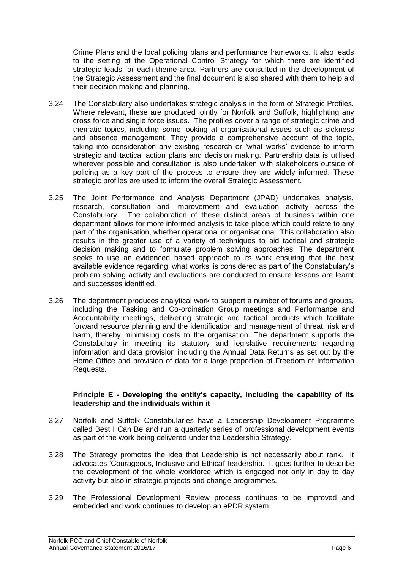Crime Plans and the local policing plans and performance frameworks. It also leads to the setting of the Operational Control Strategy for which there are identified strategic leads for each theme area. Partners are consulted in the development of the Strategic Assessment and the final document is also shared with them to help aid their decision making and planning.

- 3.24 The Constabulary also undertakes strategic analysis in the form of Strategic Profiles. Where relevant, these are produced jointly for Norfolk and Suffolk, highlighting any cross force and single force issues. The profiles cover a range of strategic crime and thematic topics, including some looking at organisational issues such as sickness and absence management. They provide a comprehensive account of the topic, taking into consideration any existing research or 'what works' evidence to inform strategic and tactical action plans and decision making. Partnership data is utilised wherever possible and consultation is also undertaken with stakeholders outside of policing as a key part of the process to ensure they are widely informed. These strategic profiles are used to inform the overall Strategic Assessment.
- 3.25 The Joint Performance and Analysis Department (JPAD) undertakes analysis, research, consultation and improvement and evaluation activity across the Constabulary. The collaboration of these distinct areas of business within one department allows for more informed analysis to take place which could relate to any part of the organisation, whether operational or organisational. This collaboration also results in the greater use of a variety of techniques to aid tactical and strategic decision making and to formulate problem solving approaches. The department seeks to use an evidenced based approach to its work ensuring that the best available evidence regarding 'what works' is considered as part of the Constabulary's problem solving activity and evaluations are conducted to ensure lessons are learnt and successes identified.
- 3.26 The department produces analytical work to support a number of forums and groups, including the Tasking and Co-ordination Group meetings and Performance and Accountability meetings, delivering strategic and tactical products which facilitate forward resource planning and the identification and management of threat, risk and harm, thereby minimising costs to the organisation. The department supports the Constabulary in meeting its statutory and legislative requirements regarding information and data provision including the Annual Data Returns as set out by the Home Office and provision of data for a large proportion of Freedom of Information Requests.

#### **Principle E - Developing the entity's capacity, including the capability of its leadership and the individuals within it**

- 3.27 Norfolk and Suffolk Constabularies have a Leadership Development Programme called Best I Can Be and run a quarterly series of professional development events as part of the work being delivered under the Leadership Strategy.
- 3.28 The Strategy promotes the idea that Leadership is not necessarily about rank. It advocates 'Courageous, Inclusive and Ethical' leadership. It goes further to describe the development of the whole workforce which is engaged not only in day to day activity but also in strategic projects and change programmes.
- 3.29 The Professional Development Review process continues to be improved and embedded and work continues to develop an ePDR system.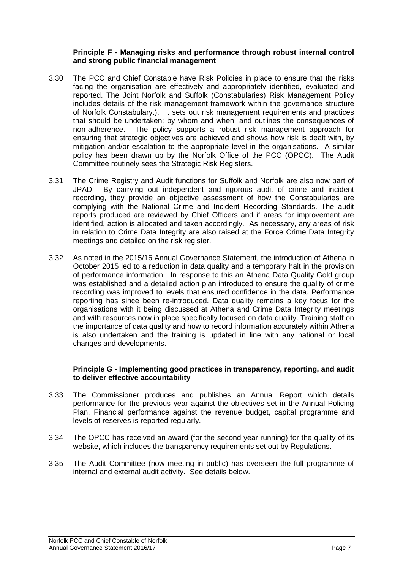#### **Principle F - Managing risks and performance through robust internal control and strong public financial management**

- 3.30 The PCC and Chief Constable have Risk Policies in place to ensure that the risks facing the organisation are effectively and appropriately identified, evaluated and reported. The Joint Norfolk and Suffolk (Constabularies) Risk Management Policy includes details of the risk management framework within the governance structure of Norfolk Constabulary.). It sets out risk management requirements and practices that should be undertaken; by whom and when, and outlines the consequences of non-adherence. The policy supports a robust risk management approach for ensuring that strategic objectives are achieved and shows how risk is dealt with, by mitigation and/or escalation to the appropriate level in the organisations. A similar policy has been drawn up by the Norfolk Office of the PCC (OPCC). The Audit Committee routinely sees the Strategic Risk Registers.
- 3.31 The Crime Registry and Audit functions for Suffolk and Norfolk are also now part of JPAD. By carrying out independent and rigorous audit of crime and incident recording, they provide an objective assessment of how the Constabularies are complying with the National Crime and Incident Recording Standards. The audit reports produced are reviewed by Chief Officers and if areas for improvement are identified, action is allocated and taken accordingly. As necessary, any areas of risk in relation to Crime Data Integrity are also raised at the Force Crime Data Integrity meetings and detailed on the risk register.
- 3.32 As noted in the 2015/16 Annual Governance Statement, the introduction of Athena in October 2015 led to a reduction in data quality and a temporary halt in the provision of performance information. In response to this an Athena Data Quality Gold group was established and a detailed action plan introduced to ensure the quality of crime recording was improved to levels that ensured confidence in the data. Performance reporting has since been re-introduced. Data quality remains a key focus for the organisations with it being discussed at Athena and Crime Data Integrity meetings and with resources now in place specifically focused on data quality. Training staff on the importance of data quality and how to record information accurately within Athena is also undertaken and the training is updated in line with any national or local changes and developments.

#### **Principle G - Implementing good practices in transparency, reporting, and audit to deliver effective accountability**

- 3.33 The Commissioner produces and publishes an Annual Report which details performance for the previous year against the objectives set in the Annual Policing Plan. Financial performance against the revenue budget, capital programme and levels of reserves is reported regularly.
- 3.34 The OPCC has received an award (for the second year running) for the quality of its website, which includes the transparency requirements set out by Regulations.
- 3.35 The Audit Committee (now meeting in public) has overseen the full programme of internal and external audit activity. See details below.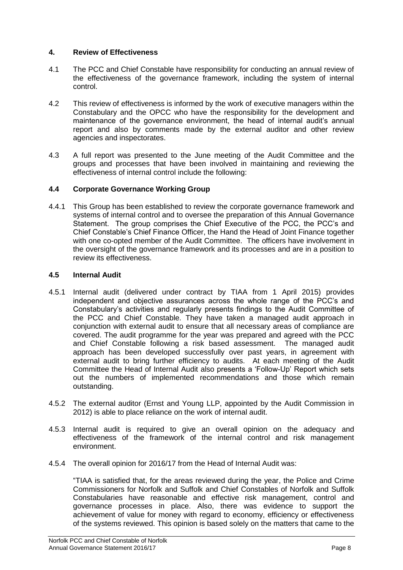# **4. Review of Effectiveness**

- 4.1 The PCC and Chief Constable have responsibility for conducting an annual review of the effectiveness of the governance framework, including the system of internal control.
- 4.2 This review of effectiveness is informed by the work of executive managers within the Constabulary and the OPCC who have the responsibility for the development and maintenance of the governance environment, the head of internal audit's annual report and also by comments made by the external auditor and other review agencies and inspectorates.
- 4.3 A full report was presented to the June meeting of the Audit Committee and the groups and processes that have been involved in maintaining and reviewing the effectiveness of internal control include the following:

## **4.4 Corporate Governance Working Group**

4.4.1 This Group has been established to review the corporate governance framework and systems of internal control and to oversee the preparation of this Annual Governance Statement. The group comprises the Chief Executive of the PCC, the PCC's and Chief Constable's Chief Finance Officer, the Hand the Head of Joint Finance together with one co-opted member of the Audit Committee. The officers have involvement in the oversight of the governance framework and its processes and are in a position to review its effectiveness.

## **4.5 Internal Audit**

- 4.5.1 Internal audit (delivered under contract by TIAA from 1 April 2015) provides independent and objective assurances across the whole range of the PCC's and Constabulary's activities and regularly presents findings to the Audit Committee of the PCC and Chief Constable. They have taken a managed audit approach in conjunction with external audit to ensure that all necessary areas of compliance are covered. The audit programme for the year was prepared and agreed with the PCC and Chief Constable following a risk based assessment. The managed audit approach has been developed successfully over past years, in agreement with external audit to bring further efficiency to audits. At each meeting of the Audit Committee the Head of Internal Audit also presents a 'Follow-Up' Report which sets out the numbers of implemented recommendations and those which remain outstanding.
- 4.5.2 The external auditor (Ernst and Young LLP, appointed by the Audit Commission in 2012) is able to place reliance on the work of internal audit.
- 4.5.3 Internal audit is required to give an overall opinion on the adequacy and effectiveness of the framework of the internal control and risk management environment.
- 4.5.4 The overall opinion for 2016/17 from the Head of Internal Audit was:

"TIAA is satisfied that, for the areas reviewed during the year, the Police and Crime Commissioners for Norfolk and Suffolk and Chief Constables of Norfolk and Suffolk Constabularies have reasonable and effective risk management, control and governance processes in place. Also, there was evidence to support the achievement of value for money with regard to economy, efficiency or effectiveness of the systems reviewed. This opinion is based solely on the matters that came to the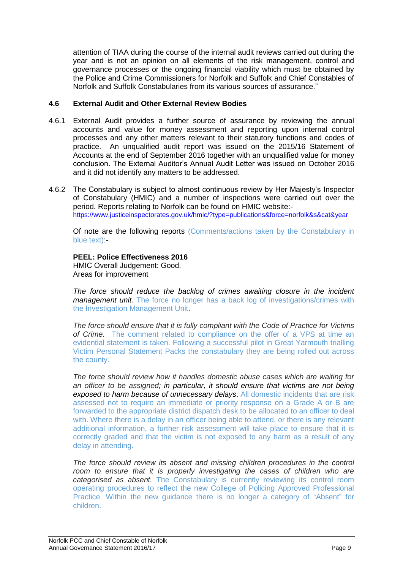attention of TIAA during the course of the internal audit reviews carried out during the year and is not an opinion on all elements of the risk management, control and governance processes or the ongoing financial viability which must be obtained by the Police and Crime Commissioners for Norfolk and Suffolk and Chief Constables of Norfolk and Suffolk Constabularies from its various sources of assurance."

#### **4.6 External Audit and Other External Review Bodies**

- 4.6.1 External Audit provides a further source of assurance by reviewing the annual accounts and value for money assessment and reporting upon internal control processes and any other matters relevant to their statutory functions and codes of practice. An unqualified audit report was issued on the 2015/16 Statement of Accounts at the end of September 2016 together with an unqualified value for money conclusion. The External Auditor's Annual Audit Letter was issued on October 2016 and it did not identify any matters to be addressed.
- 4.6.2 The Constabulary is subject to almost continuous review by Her Majesty's Inspector of Constabulary (HMIC) and a number of inspections were carried out over the period. Reports relating to Norfolk can be found on HMIC website: <https://www.justiceinspectorates.gov.uk/hmic/?type=publications&force=norfolk&s&cat&year>

Of note are the following reports (Comments/actions taken by the Constabulary in blue text) -

# **PEEL: Police Effectiveness 2016**

HMIC Overall Judgement: Good. Areas for improvement

*The force should reduce the backlog of crimes awaiting closure in the incident management unit.* The force no longer has a back log of investigations/crimes with the Investigation Management Unit.

*The force should ensure that it is fully compliant with the Code of Practice for Victims of Crime.* The comment related to compliance on the offer of a VPS at time an evidential statement is taken. Following a successful pilot in Great Yarmouth trialling Victim Personal Statement Packs the constabulary they are being rolled out across the county.

*The force should review how it handles domestic abuse cases which are waiting for an officer to be assigned; in particular, it should ensure that victims are not being exposed to harm because of unnecessary delays*. All domestic incidents that are risk assessed not to require an immediate or priority response on a Grade A or B are forwarded to the appropriate district dispatch desk to be allocated to an officer to deal with. Where there is a delay in an officer being able to attend, or there is any relevant additional information, a further risk assessment will take place to ensure that it is correctly graded and that the victim is not exposed to any harm as a result of any delay in attending.

*The force should review its absent and missing children procedures in the control*  room to ensure that it is properly investigating the cases of children who are *categorised as absent.* The Constabulary is currently reviewing its control room operating procedures to reflect the new College of Policing Approved Professional Practice. Within the new guidance there is no longer a category of "Absent" for children.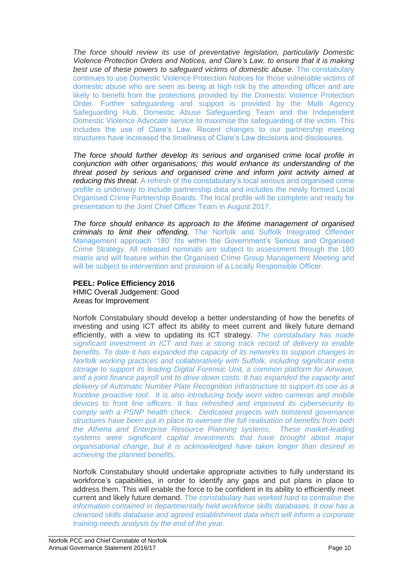*The force should review its use of preventative legislation, particularly Domestic Violence Protection Orders and Notices, and Clare's Law, to ensure that it is making best use of these powers to safeguard victims of domestic abuse.* The constabulary continues to use Domestic Violence Protection Notices for those vulnerable victims of domestic abuse who are seen as being at high risk by the attending officer and are likely to benefit from the protections provided by the Domestic Violence Protection Order. Further safeguarding and support is provided by the Multi Agency Safeguarding Hub, Domestic Abuse Safeguarding Team and the Independent Domestic Violence Advocate service to maximise the safeguarding of the victim. This includes the use of Clare's Law. Recent changes to our partnership meeting structures have increased the timeliness of Clare's Law decisions and disclosures.

*The force should further develop its serious and organised crime local profile in conjunction with other organisations; this would enhance its understanding of the threat posed by serious and organised crime and inform joint activity aimed at reducing this threat*. A refresh of the constabulary's local serious and organised crime profile is underway to include partnership data and includes the newly formed Local Organised Crime Partnership Boards. The local profile will be complete and ready for presentation to the Joint Chief Officer Team in August 2017.

*The force should enhance its approach to the lifetime management of organised criminals to limit their offending.* The Norfolk and Suffolk Integrated Offender Management approach '180' fits within the Government's Serious and Organised Crime Strategy. All released nominals are subject to assessment through the 180 matrix and will feature within the Organised Crime Group Management Meeting and will be subject to intervention and provision of a Locally Responsible Officer.

# **PEEL: Police Efficiency 2016**

HMIC Overall Judgement: Good Areas for Improvement

Norfolk Constabulary should develop a better understanding of how the benefits of investing and using ICT affect its ability to meet current and likely future demand efficiently, with a view to updating its ICT strategy. *The constabulary has made significant investment in ICT and has a strong track record of delivery to enable benefits. To date it has expanded the capacity of its networks to support changes in Norfolk working practices and collaboratively with Suffolk, including significant extra storage to support its leading Digital Forensic Unit, a common platform for Airwave, and a joint finance payroll unit to drive down costs. It has expanded the capacity and delivery of Automatic Number Plate Recognition infrastructure to support its use as a frontline proactive tool. It is also introducing body worn video cameras and mobile devices to front line officers. It has refreshed and improved its cybersecurity to comply with a PSNP health check. Dedicated projects with bolstered governance structures have been put in place to oversee the full realisation of benefits from both the Athena and Enterprise Resource Planning systems. These market-leading systems were significant capital investments that have brought about major organisational change, but it is acknowledged have taken longer than desired in achieving the planned benefits.*

Norfolk Constabulary should undertake appropriate activities to fully understand its workforce's capabilities, in order to identify any gaps and put plans in place to address them. This will enable the force to be confident in its ability to efficiently meet current and likely future demand. *The constabulary has worked hard to centralise the information contained in departmentally held workforce skills databases. It now has a cleansed skills database and agreed establishment data which will inform a corporate training needs analysis by the end of the year.*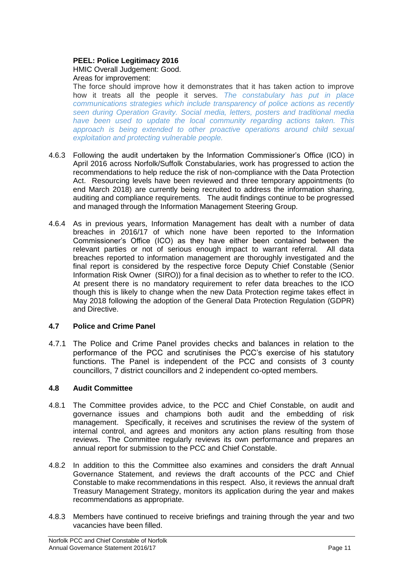# **PEEL: Police Legitimacy 2016**

#### HMIC Overall Judgement: Good. Areas for improvement:

The force should improve how it demonstrates that it has taken action to improve how it treats all the people it serves. *The constabulary has put in place communications strategies which include transparency of police actions as recently seen during Operation Gravity. Social media, letters, posters and traditional media have been used to update the local community regarding actions taken. This approach is being extended to other proactive operations around child sexual exploitation and protecting vulnerable people.* 

- 4.6.3 Following the audit undertaken by the Information Commissioner's Office (ICO) in April 2016 across Norfolk/Suffolk Constabularies, work has progressed to action the recommendations to help reduce the risk of non-compliance with the Data Protection Act. Resourcing levels have been reviewed and three temporary appointments (to end March 2018) are currently being recruited to address the information sharing, auditing and compliance requirements. The audit findings continue to be progressed and managed through the Information Management Steering Group.
- 4.6.4 As in previous years, Information Management has dealt with a number of data breaches in 2016/17 of which none have been reported to the Information Commissioner's Office (ICO) as they have either been contained between the relevant parties or not of serious enough impact to warrant referral. All data breaches reported to information management are thoroughly investigated and the final report is considered by the respective force Deputy Chief Constable (Senior Information Risk Owner (SIRO)) for a final decision as to whether to refer to the ICO. At present there is no mandatory requirement to refer data breaches to the ICO though this is likely to change when the new Data Protection regime takes effect in May 2018 following the adoption of the General Data Protection Regulation (GDPR) and Directive.

# **4.7 Police and Crime Panel**

4.7.1 The Police and Crime Panel provides checks and balances in relation to the performance of the PCC and scrutinises the PCC's exercise of his statutory functions. The Panel is independent of the PCC and consists of 3 county councillors, 7 district councillors and 2 independent co-opted members.

# **4.8 Audit Committee**

- 4.8.1 The Committee provides advice, to the PCC and Chief Constable, on audit and governance issues and champions both audit and the embedding of risk management. Specifically, it receives and scrutinises the review of the system of internal control, and agrees and monitors any action plans resulting from those reviews. The Committee regularly reviews its own performance and prepares an annual report for submission to the PCC and Chief Constable.
- 4.8.2 In addition to this the Committee also examines and considers the draft Annual Governance Statement, and reviews the draft accounts of the PCC and Chief Constable to make recommendations in this respect. Also, it reviews the annual draft Treasury Management Strategy, monitors its application during the year and makes recommendations as appropriate.
- 4.8.3 Members have continued to receive briefings and training through the year and two vacancies have been filled.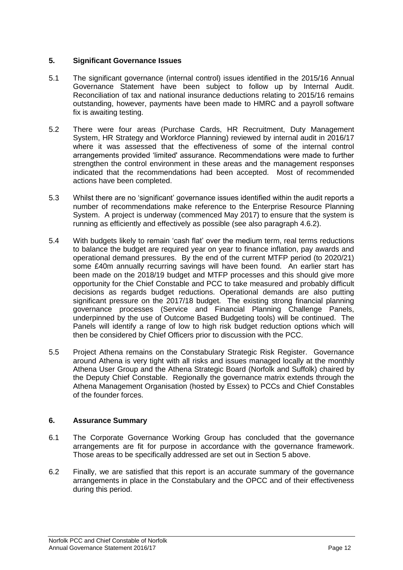## **5. Significant Governance Issues**

- 5.1 The significant governance (internal control) issues identified in the 2015/16 Annual Governance Statement have been subject to follow up by Internal Audit. Reconciliation of tax and national insurance deductions relating to 2015/16 remains outstanding, however, payments have been made to HMRC and a payroll software fix is awaiting testing.
- 5.2 There were four areas (Purchase Cards, HR Recruitment, Duty Management System, HR Strategy and Workforce Planning) reviewed by internal audit in 2016/17 where it was assessed that the effectiveness of some of the internal control arrangements provided 'limited' assurance. Recommendations were made to further strengthen the control environment in these areas and the management responses indicated that the recommendations had been accepted. Most of recommended actions have been completed.
- 5.3 Whilst there are no 'significant' governance issues identified within the audit reports a number of recommendations make reference to the Enterprise Resource Planning System. A project is underway (commenced May 2017) to ensure that the system is running as efficiently and effectively as possible (see also paragraph 4.6.2).
- 5.4 With budgets likely to remain 'cash flat' over the medium term, real terms reductions to balance the budget are required year on year to finance inflation, pay awards and operational demand pressures. By the end of the current MTFP period (to 2020/21) some £40m annually recurring savings will have been found. An earlier start has been made on the 2018/19 budget and MTFP processes and this should give more opportunity for the Chief Constable and PCC to take measured and probably difficult decisions as regards budget reductions. Operational demands are also putting significant pressure on the 2017/18 budget. The existing strong financial planning governance processes (Service and Financial Planning Challenge Panels, underpinned by the use of Outcome Based Budgeting tools) will be continued. The Panels will identify a range of low to high risk budget reduction options which will then be considered by Chief Officers prior to discussion with the PCC.
- 5.5 Project Athena remains on the Constabulary Strategic Risk Register. Governance around Athena is very tight with all risks and issues managed locally at the monthly Athena User Group and the Athena Strategic Board (Norfolk and Suffolk) chaired by the Deputy Chief Constable. Regionally the governance matrix extends through the Athena Management Organisation (hosted by Essex) to PCCs and Chief Constables of the founder forces.

# **6. Assurance Summary**

- 6.1 The Corporate Governance Working Group has concluded that the governance arrangements are fit for purpose in accordance with the governance framework. Those areas to be specifically addressed are set out in Section 5 above.
- 6.2 Finally, we are satisfied that this report is an accurate summary of the governance arrangements in place in the Constabulary and the OPCC and of their effectiveness during this period.